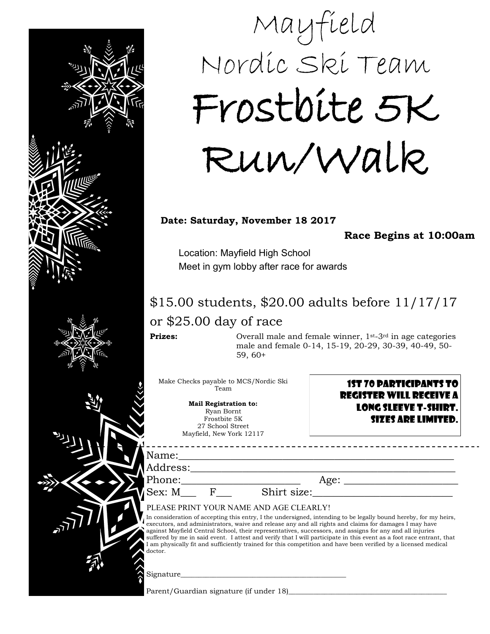

## Mayfield Nordic Ski Team Frostbite 5K Run/Walk

## **Date: Saturday, November 18 2017**

**Race Begins at 10:00am** 

Location: Mayfield High School Meet in gym lobby after race for awards

## \$15.00 students, \$20.00 adults before 11/17/17 or \$25.00 day of race

**Prizes:** Overall male and female winner, 1<sup>st-3rd</sup> in age categories male and female 0-14, 15-19, 20-29, 30-39, 40-49, 50- 59, 60+

Make Checks payable to MCS/Nordic Ski Team

> **Mail Registration to:**  Ryan Bornt Frostbite 5K 27 School Street Mayfield, New York 12117

1st 70 Participants to register will Receive a long sleeve T-shirt. Sizes are limited.

Name:

Phone:\_\_\_\_\_\_\_\_\_\_\_\_\_\_\_\_\_\_\_\_\_\_\_ Age: \_\_\_\_\_\_\_\_\_\_\_\_\_\_\_\_\_\_\_\_\_\_

\_\_\_\_\_\_\_\_\_\_\_\_\_\_\_\_\_\_\_\_\_\_\_\_\_\_\_\_\_\_\_\_\_\_\_\_

Sex: M\_\_\_ F\_\_\_ Shirt size:\_\_\_\_\_\_\_\_\_\_\_\_\_\_\_\_\_\_\_\_\_\_\_\_\_\_\_

PLEASE PRINT YOUR NAME AND AGE CLEARLY!

In consideration of accepting this entry, I the undersigned, intending to be legally bound hereby, for my heirs, executors, and administrators, waive and release any and all rights and claims for damages I may have against Mayfield Central School, their representatives, successors, and assigns for any and all injuries suffered by me in said event. I attest and verify that I will participate in this event as a foot race entrant, that I am physically fit and sufficiently trained for this competition and have been verified by a licensed medical

Signature\_\_\_\_\_\_\_\_\_\_\_\_\_\_\_\_\_\_\_\_\_\_\_\_\_\_\_\_\_\_\_\_\_\_\_\_\_\_\_\_\_\_\_\_\_\_

Parent/Guardian signature (if under 18)\_\_\_\_\_\_\_\_\_\_\_\_\_\_\_\_\_\_\_\_\_\_\_\_\_\_\_\_\_\_\_\_\_\_\_\_\_\_\_\_\_\_\_\_